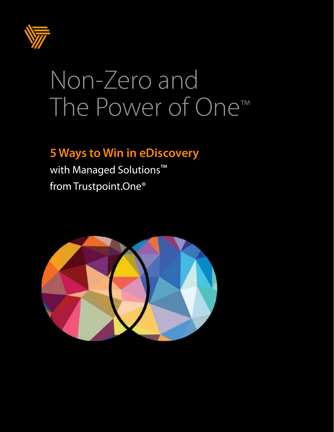

# Non-Zero and The Power of One™

## **5 Ways to Win in eDiscovery**

with Managed Solutions<sup>™</sup> from Trustpoint.One®

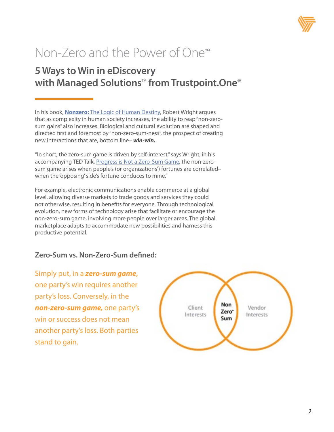

## Non-Zero and the Power of One™

#### **5 Ways to Win in eDiscovery with Managed Solutions**™ **from Trustpoint.One**®

In his book, **Nonzero:** [The Logic of Human Destiny,](https://www.nonzero.org/) Robert Wright argues that as complexity in human society increases, the ability to reap "non-zerosum gains" also increases. Biological and cultural evolution are shaped and directed first and foremost by "non-zero-sum-ness", the prospect of creating new interactions that are, bottom line– *win-win.* 

"In short, the zero-sum game is driven by self-interest," says Wright, in his accompanying TED Talk, Progress is Not a Zero-Sum Game, the non-zerosum game arises when people's (or organizations') fortunes are correlated– when the 'opposing' side's fortune conduces to mine."

For example, electronic communications enable commerce at a global level, allowing diverse markets to trade goods and services they could not otherwise, resulting in benefits for everyone. Through technological evolution, new forms of technology arise that facilitate or encourage the non-zero-sum game, involving more people over larger areas. The global marketplace adapts to accommodate new possibilities and harness this productive potential.

#### **Zero-Sum vs. Non-Zero-Sum defined:**

Simply put, in a *zero-sum game***,**  one party's win requires another party's loss. Conversely, in the *non-zero-sum game,* one party's win or success does not mean another party's loss. Both parties stand to gain.

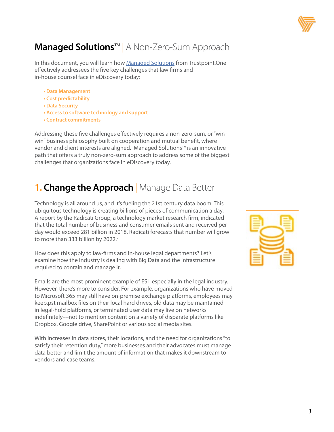

### **Managed Solutions**™ | A Non-Zero-Sum Approach

In this document, you will learn how [Managed Solutions](http://Managed Solutions) from Trustpoint.One effectively addressees the five key challenges that law firms and in-house counsel face in eDiscovery today:

- **Data Management**
- **Cost predictability**
- **Data Security**
- **Access to software technology and support**
- **Contract commitments**

Addressing these five challenges effectively requires a non-zero-sum, or "winwin" business philosophy built on cooperation and mutual benefit, where vendor and client interests are aligned. Managed Solutions™ is an innovative path that offers a truly non-zero-sum approach to address some of the biggest challenges that organizations face in eDiscovery today.

#### **1. Change the Approach** | Manage Data Better

Technology is all around us, and it's fueling the 21st century data boom. This ubiquitous technology is creating billions of pieces of communication a day. A report by the Radicati Group, a technology market research firm, indicated that the total number of business and consumer emails sent and received per day would exceed 281 billion in 2018. Radicati forecasts that number will grow to more than 333 billion by  $2022.<sup>2</sup>$ 

How does this apply to law-firms and in-house legal departments? Let's examine how the industry is dealing with Big Data and the infrastructure required to contain and manage it.

Emails are the most prominent example of ESI–especially in the legal industry. However, there's more to consider. For example, organizations who have moved to Microsoft 365 may still have on-premise exchange platforms, employees may keep.pst mailbox files on their local hard drives, old data may be maintained in legal-hold platforms, or terminated user data may live on networks indefinitely––not to mention content on a variety of disparate platforms like Dropbox, Google drive, SharePoint or various social media sites.

With increases in data stores, their locations, and the need for organizations "to satisfy their retention duty," more businesses and their advocates must manage data better and limit the amount of information that makes it downstream to vendors and case teams.

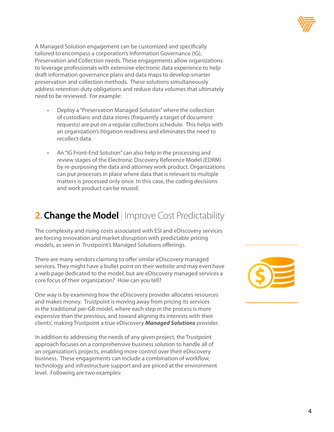

A Managed Solution engagement can be customized and specifically tailored to encompass a corporation's Information Governance (IG), Preservation and Collection needs. These engagements allow organizations to leverage professionals with extensive electronic data experience to help draft information governance plans and data maps to develop smarter preservation and collection methods. These solutions simultaneously address retention-duty obligations and reduce data volumes that ultimately need to be reviewed. For example:

- Deploy a "Preservation Managed Solution" where the collection of custodians and data stores (frequently a target of document requests) are put on a regular collections schedule. This helps with an organization's litigation readiness and eliminates the need to recollect data.
- An "IG Front-End Solution" can also help in the processing and review stages of the Electronic Discovery Reference Model (EDRM) by re-purposing the data and attorney work product. Organizations can put processes in place where data that is relevant to multiple matters is processed only once. In this case, the coding decisions and work product can be reused.

#### **2. Change the Model** Improve Cost Predictability

The complexity and rising costs associated with ESI and eDiscovery services are forcing innovation and market disruption with predictable pricing models, as seen in Trustpoint's Managed Solutions offerings.

There are many vendors claiming to offer similar eDiscovery managed services. They might have a bullet point on their website and may even have a web page dedicated to the model, but are eDiscovery managed services a core focus of their organization? How can you tell?

One way is by examining how the eDiscovery provider allocates resources and makes money. Trustpoint is moving away from pricing its services in the traditional per-GB model, where each step in the process is more expensive than the previous, and toward aligning its interests with their clients', making Trustpoint a true eDiscovery *Managed Solutions* provider.

In addition to addressing the needs of any given project, the Trustpoint approach focuses on a comprehensive business solution to handle all of an organization's projects, enabling more control over their eDiscovery business. These engagements can include a combination of workflow, technology and infrastructure support and are priced at the environment level. Following are two examples:

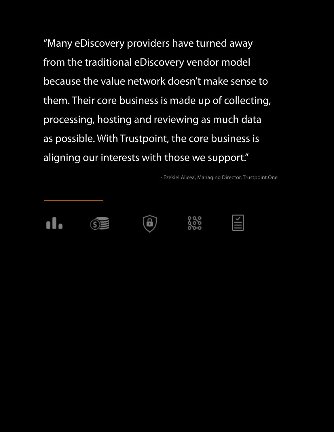"Many eDiscovery providers have turned away from the traditional eDiscovery vendor model because the value network doesn't make sense to them. Their core business is made up of collecting, processing, hosting and reviewing as much data as possible. With Trustpoint, the core business is aligning our interests with those we support."

- Ezekiel Alicea, Managing Director, Trustpoint.One





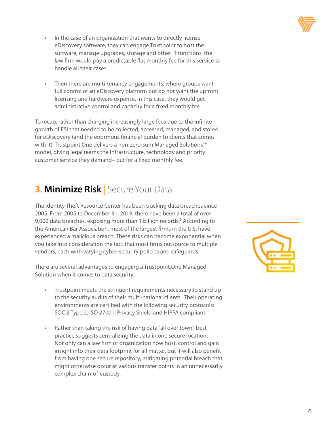

- In the case of an organization that wants to directly license eDiscovery software, they can engage Trustpoint to host the software, manage upgrades, storage and other IT functions, the law firm would pay a predictable flat monthly fee for this service to handle all their cases.
- Then there are multi-tenancy engagements, where groups want full control of an eDiscovery platform but do not want the upfront licensing and hardware expense. In this case, they would get administrative control and capacity for a fixed monthly fee.

To recap, rather than charging increasingly large fees due to the infinite growth of ESI that needed to be collected, accessed, managed, and stored for eDiscovery (and the enormous financial burden to clients that comes with it), Trustpoint.One delivers a non-zero-sum Managed Solutions™ model, giving legal teams the infrastructure, technology and priority customer service they demand– but for a fixed monthly fee.

#### **3. Minimize Risk** Secure Your Data

The Identity Theft Resource Center has been tracking data breaches since 2005. From 2005 to December 31, 2018, there have been a total of over 9,000 data breaches, exposing more than 1 billion records.<sup>6</sup> According to the American Bar Association, most of the largest firms in the U.S. have experienced a malicious breach. These risks can become exponential when you take into consideration the fact that most firms outsource to multiple vendors, each with varying cyber-security policies and safeguards.

There are several advantages to engaging a Trustpoint.One Managed Solution when it comes to data security:

- Trustpoint meets the stringent requirements necessary to stand up to the security audits of their multi-national clients. Their operating environments are certified with the following security protocols: SOC 2 Type 2, ISO 27001, Privacy Shield and HIPPA compliant.
- Rather than taking the risk of having data "all over town", best practice suggests centralizing the data in one secure location. Not only can a law firm or organization now host, control and gain insight into their data footprint for all matter, but it will also benefit from having one secure repository, mitigating potential breach that might otherwise occur at various transfer points in an unnecessarily complex chain-of-custody.

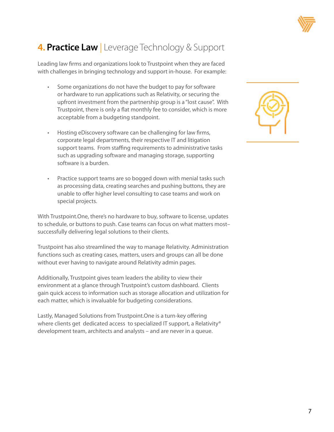

### **4. Practice Law** | Leverage Technology & Support

Leading law firms and organizations look to Trustpoint when they are faced with challenges in bringing technology and support in-house. For example:

- Some organizations do not have the budget to pay for software or hardware to run applications such as Relativity, or securing the upfront investment from the partnership group is a "lost cause". With Trustpoint, there is only a flat monthly fee to consider, which is more acceptable from a budgeting standpoint.
- Hosting eDiscovery software can be challenging for law firms, corporate legal departments, their respective IT and litigation support teams. From staffing requirements to administrative tasks such as upgrading software and managing storage, supporting software is a burden.
- Practice support teams are so bogged down with menial tasks such as processing data, creating searches and pushing buttons, they are unable to offer higher level consulting to case teams and work on special projects.

With Trustpoint.One, there's no hardware to buy, software to license, updates to schedule, or buttons to push. Case teams can focus on what matters most– successfully delivering legal solutions to their clients.

Trustpoint has also streamlined the way to manage Relativity. Administration functions such as creating cases, matters, users and groups can all be done without ever having to navigate around Relativity admin pages.

Additionally, Trustpoint gives team leaders the ability to view their environment at a glance through Trustpoint's custom dashboard. Clients gain quick access to information such as storage allocation and utilization for each matter, which is invaluable for budgeting considerations.

Lastly, Managed Solutions from Trustpoint.One is a turn-key offering where clients get dedicated access to specialized IT support, a Relativity® development team, architects and analysts – and are never in a queue.

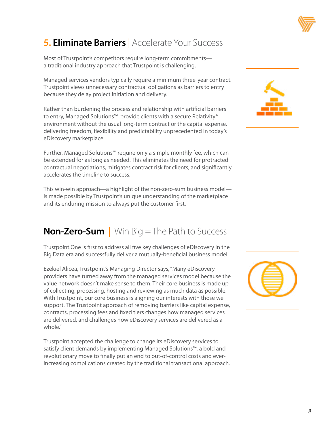

### **5. Eliminate Barriers** Accelerate Your Success

Most of Trustpoint's competitors require long-term commitments a traditional industry approach that Trustpoint is challenging.

Managed services vendors typically require a minimum three-year contract. Trustpoint views unnecessary contractual obligations as barriers to entry because they delay project initiation and delivery.

Rather than burdening the process and relationship with artificial barriers to entry, Managed Solutions<sup>™</sup> provide clients with a secure Relativity® environment without the usual long-term contract or the capital expense, delivering freedom, flexibility and predictability unprecedented in today's eDiscovery marketplace.

Further, Managed Solutions™ require only a simple monthly fee, which can be extended for as long as needed. This eliminates the need for protracted contractual negotiations, mitigates contract risk for clients, and significantly accelerates the timeline to success.

This win-win approach—a highlight of the non-zero-sum business model is made possible by Trustpoint's unique understanding of the marketplace and its enduring mission to always put the customer first.

#### **Non-Zero-Sum |** Win Big = The Path to Success

Trustpoint.One is first to address all five key challenges of eDiscovery in the Big Data era and successfully deliver a mutually-beneficial business model.

Ezekiel Alicea, Trustpoint's Managing Director says, "Many eDiscovery providers have turned away from the managed services model because the value network doesn't make sense to them. Their core business is made up of collecting, processing, hosting and reviewing as much data as possible. With Trustpoint, our core business is aligning our interests with those we support. The Trustpoint approach of removing barriers like capital expense, contracts, processing fees and fixed tiers changes how managed services are delivered, and challenges how eDiscovery services are delivered as a whole."

Trustpoint accepted the challenge to change its eDiscovery services to satisfy client demands by implementing Managed Solutions™, a bold and revolutionary move to finally put an end to out-of-control costs and everincreasing complications created by the traditional transactional approach.



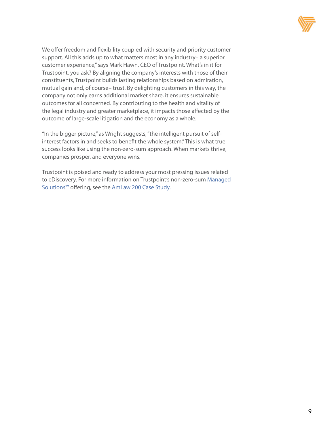

We offer freedom and flexibility coupled with security and priority customer support. All this adds up to what matters most in any industry– a superior customer experience," says Mark Hawn, CEO of Trustpoint. What's in it for Trustpoint, you ask? By aligning the company's interests with those of their constituents, Trustpoint builds lasting relationships based on admiration, mutual gain and, of course– trust. By delighting customers in this way, the company not only earns additional market share, it ensures sustainable outcomes for all concerned. By contributing to the health and vitality of the legal industry and greater marketplace, it impacts those affected by the outcome of large-scale litigation and the economy as a whole.

"In the bigger picture," as Wright suggests, "the intelligent pursuit of selfinterest factors in and seeks to benefit the whole system." This is what true success looks like using the non-zero-sum approach. When markets thrive, companies prosper, and everyone wins.

Trustpoint is poised and ready to address your most pressing issues related to eDiscovery. For more information on Trustpoint's non-zero-sum Managed [Solutions™](http://Managed Solutions) offering, see the [AmLaw 200 Case Study.](http://AmLaw 200 case study)